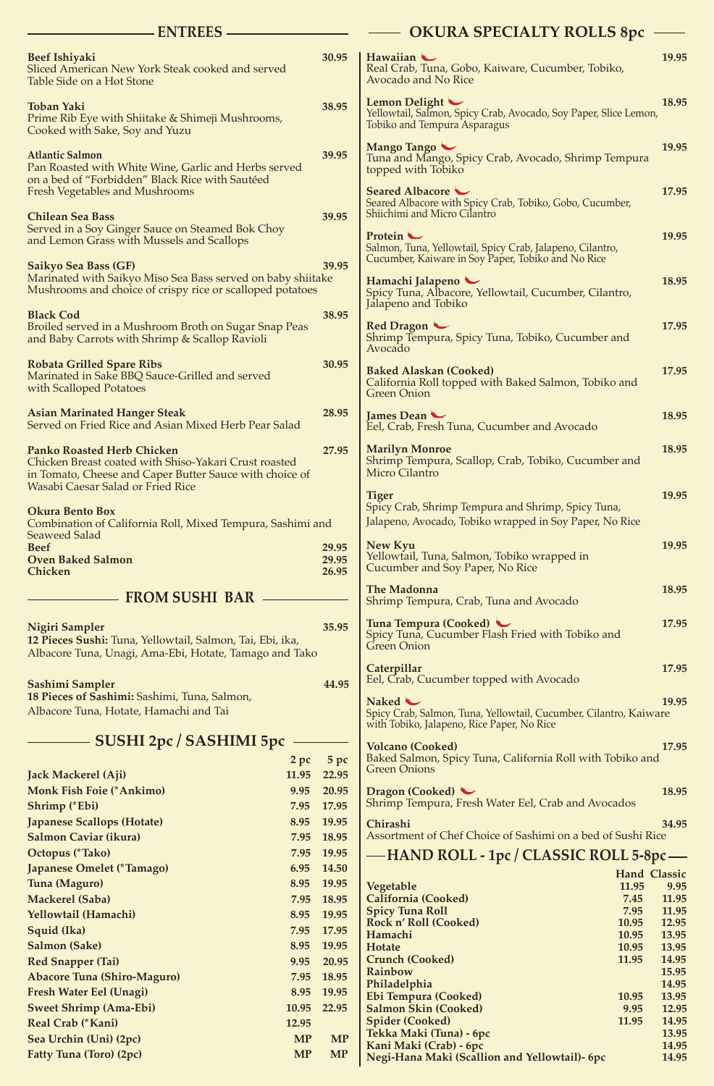| <b>ENTREES</b>                                                                                                                                          |               |                         | <b>OKURA SPECIALTY ROLLS 8pc</b>                                                                                             |                |
|---------------------------------------------------------------------------------------------------------------------------------------------------------|---------------|-------------------------|------------------------------------------------------------------------------------------------------------------------------|----------------|
| <b>Beef Ishiyaki</b><br>Sliced American New York Steak cooked and served<br>Table Side on a Hot Stone                                                   |               | 30.95                   | Hawaiian<br>Real Crab, Tuna, Gobo, Kaiware, Cucumber, Tobiko,<br>Avocado and No Rice                                         | 19.95          |
| <b>Toban Yaki</b><br>Prime Rib Eye with Shiitake & Shimeji Mushrooms,<br>Cooked with Sake, Soy and Yuzu                                                 |               | 38.95                   | Lemon Delight<br>Yellowtail, Salmon, Spicy Crab, Avocado, Soy Paper, Slice Lemon,<br><b>Tobiko and Tempura Asparagus</b>     | 18.95          |
| <b>Atlantic Salmon</b><br>Pan Roasted with White Wine, Garlic and Herbs served<br>on a bed of "Forbidden" Black Rice with Sautéed                       |               | 39.95                   | Mango Tango<br>Tuna and Mango, Spicy Crab, Avocado, Shrimp Tempura<br>topped with Tobiko                                     | 19.95          |
| <b>Fresh Vegetables and Mushrooms</b><br><b>Chilean Sea Bass</b>                                                                                        |               | 39.95                   | Seared Albacore<br>Seared Albacore with Spicy Crab, Tobiko, Gobo, Cucumber,<br>Shiichimi and Micro Cilantro                  | 17.95          |
| Served in a Soy Ginger Sauce on Steamed Bok Choy<br>and Lemon Grass with Mussels and Scallops                                                           |               |                         | Protein –<br>Salmon, Tuna, Yellowtail, Spicy Crab, Jalapeno, Cilantro,<br>Cucumber, Kaiware in Soy Paper, Tobiko and No Rice | 19.95          |
| <b>Saikyo Sea Bass (GF)</b><br>Marinated with Saikyo Miso Sea Bass served on baby shiitake<br>Mushrooms and choice of crispy rice or scalloped potatoes |               | 39.95                   | Hamachi Jalapeno<br>Spicy Tuna, Albacore, Yellowtail, Cucumber, Cilantro,                                                    | 18.95          |
| <b>Black Cod</b><br>Broiled served in a Mushroom Broth on Sugar Snap Peas<br>and Baby Carrots with Shrimp & Scallop Ravioli                             |               | 38.95                   | Jalapeno and Tobiko<br>Red Dragon<br>Shrimp Tempura, Spicy Tuna, Tobiko, Cucumber and                                        | 17.95          |
| <b>Robata Grilled Spare Ribs</b><br>Marinated in Sake BBQ Sauce-Grilled and served                                                                      |               | 30.95                   | Avocado<br><b>Baked Alaskan (Cooked)</b><br>California Roll topped with Baked Salmon, Tobiko and                             | 17.95          |
| with Scalloped Potatoes<br><b>Asian Marinated Hanger Steak</b><br>Served on Fried Rice and Asian Mixed Herb Pear Salad                                  |               | 28.95                   | <b>Green Onion</b><br>James Dean<br>Eel, Crab, Fresh Tuna, Cucumber and Avocado                                              | 18.95          |
| <b>Panko Roasted Herb Chicken</b><br>Chicken Breast coated with Shiso-Yakari Crust roasted                                                              |               | 27.95                   | <b>Marilyn Monroe</b><br>Shrimp Tempura, Scallop, Crab, Tobiko, Cucumber and<br>Micro Cilantro                               | 18.95          |
| in Tomato, Cheese and Caper Butter Sauce with choice of<br><b>Wasabi Caesar Salad or Fried Rice</b>                                                     |               |                         | <b>Tiger</b>                                                                                                                 | 19.95          |
| <b>Okura Bento Box</b><br>Combination of California Roll, Mixed Tempura, Sashimi and<br><b>Seaweed Salad</b>                                            |               |                         | Spicy Crab, Shrimp Tempura and Shrimp, Spicy Tuna,<br>Jalapeno, Avocado, Tobiko wrapped in Soy Paper, No Rice                |                |
| <b>Beef</b><br><b>Oven Baked Salmon</b><br>Chicken                                                                                                      |               | 29.95<br>29.95<br>26.95 | New Kyu<br>Yellowtail, Tuna, Salmon, Tobiko wrapped in<br>Cucumber and Soy Paper, No Rice                                    | 19.95          |
| <b>FROM SUSHI BAR -</b>                                                                                                                                 |               |                         | <b>The Madonna</b><br>Shrimp Tempura, Crab, Tuna and Avocado                                                                 | 18.95          |
| <b>Nigiri Sampler</b><br>12 Pieces Sushi: Tuna, Yellowtail, Salmon, Tai, Ebi, ika,<br>Albacore Tuna, Unagi, Ama-Ebi, Hotate, Tamago and Tako            |               | 35.95                   | Tuna Tempura (Cooked)<br>Spicy Tuna, Cucumber Flash Fried with Tobiko and<br>Green Onion                                     | 17.95          |
| Sashimi Sampler                                                                                                                                         |               | 44.95                   | Caterpillar<br>Eel, Crab, Cucumber topped with Avocado                                                                       | 17.95          |
| 18 Pieces of Sashimi: Sashimi, Tuna, Salmon,<br>Albacore Tuna, Hotate, Hamachi and Tai                                                                  |               |                         | Naked <<br>Spicy Crab, Salmon, Tuna, Yellowtail, Cucumber, Cilantro, Kaiware<br>with Tobiko, Jalapeno, Rice Paper, No Rice   | 19.95          |
| SUSHI 2pc / SASHIMI 5pc                                                                                                                                 |               |                         | <b>Volcano (Cooked)</b><br>Baked Salmon, Spicy Tuna, California Roll with Tobiko and                                         | 17.95          |
| <b>Jack Mackerel (Aji)</b>                                                                                                                              | 2 pc<br>11.95 | 5pc<br>22.95            | <b>Green Onions</b>                                                                                                          |                |
| <b>Monk Fish Foie (*Ankimo)</b><br>Shrimp (*Ebi)                                                                                                        | 9.95<br>7.95  | 20.95<br>17.95          | Dragon (Cooked)<br>Shrimp Tempura, Fresh Water Eel, Crab and Avocados                                                        | 18.95          |
| <b>Japanese Scallops (Hotate)</b>                                                                                                                       | 8.95          | 19.95                   | Chirashi                                                                                                                     | 34.95          |
| <b>Salmon Caviar (ikura)</b>                                                                                                                            | 7.95          | 18.95                   | Assortment of Chef Choice of Sashimi on a bed of Sushi Rice                                                                  |                |
| <b>Octopus (*Tako)</b>                                                                                                                                  | 7.95          | 19.95                   | — HAND ROLL - 1pc / CLASSIC ROLL 5-8pc —                                                                                     |                |
| Japanese Omelet (*Tamago)                                                                                                                               | 6.95          | 14.50                   | <b>Hand Classic</b>                                                                                                          |                |
| Tuna (Maguro)                                                                                                                                           | 8.95          | 19.95                   | Vegetable<br>11.95                                                                                                           | 9.95           |
| <b>Mackerel (Saba)</b>                                                                                                                                  | 7.95          | 18.95                   | <b>California (Cooked)</b><br>7.45                                                                                           | 11.95          |
| Yellowtail (Hamachi)                                                                                                                                    | 8.95          | 19.95                   | 7.95<br><b>Spicy Tuna Roll</b><br>Rock n' Roll (Cooked)<br>10.95                                                             | 11.95<br>12.95 |
| Squid (Ika)                                                                                                                                             | 7.95          | 17.95                   | Hamachi<br>10.95                                                                                                             | 13.95          |
| <b>Salmon (Sake)</b>                                                                                                                                    | 8.95          | 19.95                   | Hotate<br>10.95                                                                                                              | 13.95<br>14.95 |
| <b>Red Snapper (Tai)</b>                                                                                                                                | 9.95          | 20.95<br>18.95          | <b>Crunch (Cooked)</b><br>11.95<br>Rainbow                                                                                   | 15.95          |
| <b>Abacore Tuna (Shiro-Maguro)</b><br><b>Fresh Water Eel (Unagi)</b>                                                                                    | 7.95<br>8.95  | 19.95                   | Philadelphia                                                                                                                 | 14.95          |
| <b>Sweet Shrimp (Ama-Ebi)</b>                                                                                                                           | 10.95         | 22.95                   | Ebi Tempura (Cooked)<br>10.95<br><b>Salmon Skin (Cooked)</b><br>9.95                                                         | 13.95<br>12.95 |
| Real Crab (*Kani)                                                                                                                                       | 12.95         |                         | <b>Spider (Cooked)</b><br>11.95                                                                                              | 14.95          |
| Sea Urchin (Uni) (2pc)                                                                                                                                  | <b>MP</b>     | <b>MP</b>               | Tekka Maki (Tuna) - 6pc                                                                                                      | 13.95          |
| <b>Fatty Tuna (Toro) (2pc)</b>                                                                                                                          | <b>MP</b>     | <b>MP</b>               | Kani Maki (Crab) - 6pc<br>Negi-Hana Maki (Scallion and Yellowtail)- 6pc                                                      | 14.95<br>14.95 |